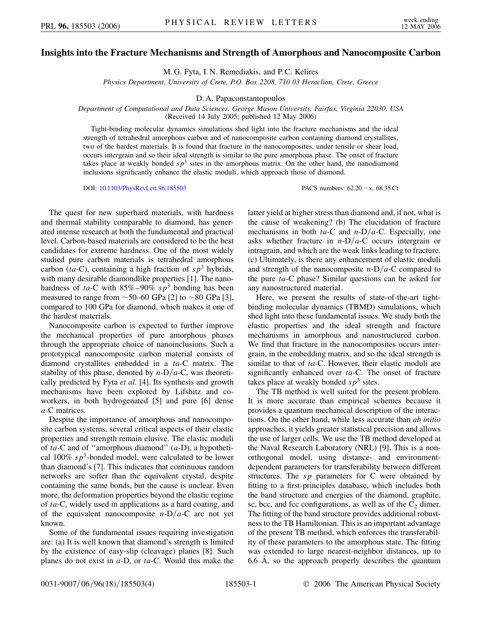## **Insights into the Fracture Mechanisms and Strength of Amorphous and Nanocomposite Carbon**

M. G. Fyta, I. N. Remediakis, and P. C. Kelires

*Physics Department, University of Crete, P.O. Box 2208, 710 03 Heraclion, Crete, Greece*

D. A. Papaconstantopoulos

*Department of Computational and Data Sciences, George Mason University, Fairfax, Virginia 22030, USA* (Received 14 July 2005; published 12 May 2006)

Tight-binding molecular dynamics simulations shed light into the fracture mechanisms and the ideal strength of tetrahedral amorphous carbon and of nanocomposite carbon containing diamond crystallites, two of the hardest materials. It is found that fracture in the nanocomposites, under tensile or shear load, occurs intergrain and so their ideal strength is similar to the pure amorphous phase. The onset of fracture takes place at weakly bonded  $sp<sup>3</sup>$  sites in the amorphous matrix. On the other hand, the nanodiamond inclusions significantly enhance the elastic moduli, which approach those of diamond.

DOI: [10.1103/PhysRevLett.96.185503](http://dx.doi.org/10.1103/PhysRevLett.96.185503) PACS numbers: 62.20.-x, 68.35.Ct

The quest for new superhard materials, with hardness and thermal stability comparable to diamond, has generated intense research at both the fundamental and practical level. Carbon-based materials are considered to be the best candidates for extreme hardness. One of the most widely studied pure carbon materials is tetrahedral amorphous carbon ( $ta$ -C), containing a high fraction of  $sp<sup>3</sup>$  hybrids, with many desirable diamondlike properties [1]. The nanohardness of  $ta$ -C with  $85\% - 90\%$   $sp<sup>3</sup>$  bonding has been measured to range from  $\sim$  50–60 GPa [2] to  $\sim$  80 GPa [3], compared to 100 GPa for diamond, which makes it one of the hardest materials.

Nanocomposite carbon is expected to further improve the mechanical properties of pure amorphous phases through the appropriate choice of nanoinclusions. Such a prototypical nanocomposite carbon material consists of diamond crystallites embedded in a *ta*-C matrix. The stability of this phase, denoted by  $n-D/a-C$ , was theoretically predicted by Fyta *et al.* [4]. Its synthesis and growth mechanisms have been explored by Lifshitz and coworkers, in both hydrogenated [5] and pure [6] dense *a*-C matrices.

Despite the importance of amorphous and nanocomposite carbon systems, several critical aspects of their elastic properties and strength remain elusive. The elastic moduli of *ta*-C and of ''amorphous diamond'' (*a*-D), a hypothetical  $100\%$   $sp^3$ -bonded model, were calculated to be lower than diamond's [7]. This indicates that continuous random networks are softer than the equivalent crystal, despite containing the same bonds, but the cause is unclear. Even more, the deformation properties beyond the elastic regime of *ta*-C, widely used in applications as a hard coating, and of the equivalent nanocomposite  $n-D/a-C$  are not yet known.

Some of the fundamental issues requiring investigation are: (a) It is well known that diamond's strength is limited by the existence of easy-slip (cleavage) planes [8]. Such planes do not exist in *a*-D, or *ta*-C. Would this make the latter yield at higher stress than diamond and, if not, what is the cause of weakening? (b) The elucidation of fracture mechanisms in both  $ta$ -C and  $n$ -D/ $a$ -C. Especially, one asks whether fracture in  $n-D/a-C$  occurs intergrain or intragrain, and which are the weak links leading to fracture. (c) Ultimately, is there any enhancement of elastic moduli and strength of the nanocomposite  $n-D/a-C$  compared to the pure *ta*-C phase? Similar questions can be asked for any nanostructured material.

Here, we present the results of state-of-the-art tightbinding molecular dynamics (TBMD) simulations, which shed light into these fundamental issues. We study both the elastic properties and the ideal strength and fracture mechanisms in amorphous and nanostructured carbon. We find that fracture in the nanocomposites occurs intergrain, in the embedding matrix, and so the ideal strength is similar to that of *ta*-C. However, their elastic moduli are significantly enhanced over *ta*-C. The onset of fracture takes place at weakly bonded  $s p<sup>3</sup>$  sites.

The TB method is well suited for the present problem. It is more accurate than empirical schemes because it provides a quantum mechanical description of the interactions. On the other hand, while less accurate than *ab initio* approaches, it yields greater statistical precision and allows the use of larger cells. We use the TB method developed at the Naval Research Laboratory (NRL) [9]. This is a nonorthogonal model, using distance- and environmentdependent parameters for transferability between different structures. The *sp* parameters for C were obtained by fitting to a first-principles database, which includes both the band structure and energies of the diamond, graphite, sc, bcc, and fcc configurations, as well as of the  $C_2$  dimer. The fitting of the band structure provides additional robustness to the TB Hamiltonian. This is an important advantage of the present TB method, which enforces the transferability of these parameters to the amorphous state. The fitting was extended to large nearest-neighbor distances, up to 6.6  $\dot{A}$ , so the approach properly describes the quantum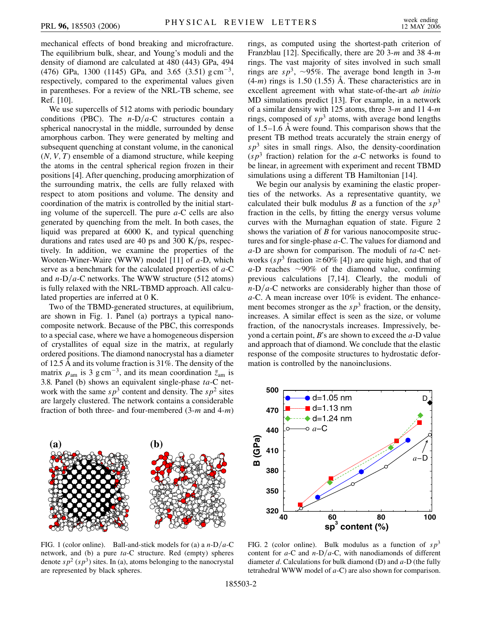mechanical effects of bond breaking and microfracture. The equilibrium bulk, shear, and Young's moduli and the density of diamond are calculated at 480 (443) GPa, 494 (476) GPa, 1300 (1145) GPa, and 3.65 (3.51) g cm<sup>-3</sup>, respectively, compared to the experimental values given in parentheses. For a review of the NRL-TB scheme, see Ref. [10].

We use supercells of 512 atoms with periodic boundary conditions (PBC). The  $n-D/a-C$  structures contain a spherical nanocrystal in the middle, surrounded by dense amorphous carbon. They were generated by melting and subsequent quenching at constant volume, in the canonical (*N;V; T*) ensemble of a diamond structure, while keeping the atoms in the central spherical region frozen in their positions [4]. After quenching, producing amorphization of the surrounding matrix, the cells are fully relaxed with respect to atom positions and volume. The density and coordination of the matrix is controlled by the initial starting volume of the supercell. The pure *a*-C cells are also generated by quenching from the melt. In both cases, the liquid was prepared at 6000 K, and typical quenching durations and rates used are 40 ps and 300 K/ps, respectively. In addition, we examine the properties of the Wooten-Winer-Waire (WWW) model [11] of *a*-D, which serve as a benchmark for the calculated properties of *a*-C and  $n-D/a$ -C networks. The WWW structure (512 atoms) is fully relaxed with the NRL-TBMD approach. All calculated properties are inferred at 0 K.

Two of the TBMD-generated structures, at equilibrium, are shown in Fig. 1. Panel (a) portrays a typical nanocomposite network. Because of the PBC, this corresponds to a special case, where we have a homogeneous dispersion of crystallites of equal size in the matrix, at regularly ordered positions. The diamond nanocrystal has a diameter of 12.5 Å and its volume fraction is 31%. The density of the matrix  $\rho_{\text{am}}$  is 3 g cm<sup>-3</sup>, and its mean coordination  $\bar{z}_{\text{am}}$  is 3.8. Panel (b) shows an equivalent single-phase *ta*-C network with the same  $s p^3$  content and density. The  $s p^2$  sites are largely clustered. The network contains a considerable fraction of both three- and four-membered (3-*m* and 4-*m*)



FIG. 1 (color online). Ball-and-stick models for (a) a  $n-D/a-C$ network, and (b) a pure *ta*-C structure. Red (empty) spheres denote  $sp^2$  ( $sp^3$ ) sites. In (a), atoms belonging to the nanocrystal are represented by black spheres.

rings, as computed using the shortest-path criterion of Franzblau [12]. Specifically, there are 20 3-*m* and 38 4-*m* rings. The vast majority of sites involved in such small rings are  $sp^3$ ,  $\sim$ 95%. The average bond length in 3-*m*  $(4-m)$  rings is 1.50 (1.55) Å. These characteristics are in excellent agreement with what state-of-the-art *ab initio* MD simulations predict [13]. For example, in a network of a similar density with 125 atoms, three 3-*m* and 11 4-*m* rings, composed of  $s p<sup>3</sup>$  atoms, with average bond lengths of  $1.5-1.6$  Å were found. This comparison shows that the present TB method treats accurately the strain energy of  $sp<sup>3</sup>$  sites in small rings. Also, the density-coordination  $(sp<sup>3</sup>]$  fraction) relation for the *a*-C networks is found to be linear, in agreement with experiment and recent TBMD simulations using a different TB Hamiltonian [14].

We begin our analysis by examining the elastic properties of the networks. As a representative quantity, we calculated their bulk modulus *B* as a function of the  $sp^3$ fraction in the cells, by fitting the energy versus volume curves with the Murnaghan equation of state. Figure 2 shows the variation of *B* for various nanocomposite structures and for single-phase *a*-C. The values for diamond and *a*-D are shown for comparison. The moduli of *ta*-C networks ( $s p^3$  fraction  $\geq 60\%$  [4]) are quite high, and that of  $a$ -D reaches  $\sim$ 90% of the diamond value, confirming previous calculations [7,14]. Clearly, the moduli of  $n-D/a$ -C networks are considerably higher than those of *a*-C. A mean increase over 10% is evident. The enhancement becomes stronger as the  $sp^3$  fraction, or the density, increases. A similar effect is seen as the size, or volume fraction, of the nanocrystals increases. Impressively, beyond a certain point, *B*'s are shown to exceed the *a*-D value and approach that of diamond. We conclude that the elastic response of the composite structures to hydrostatic deformation is controlled by the nanoinclusions.



FIG. 2 (color online). Bulk modulus as a function of  $sp<sup>3</sup>$ content for  $a$ -C and  $n$ -D/ $a$ -C, with nanodiamonds of different diameter *d*. Calculations for bulk diamond (D) and *a*-D (the fully tetrahedral WWW model of *a*-C) are also shown for comparison.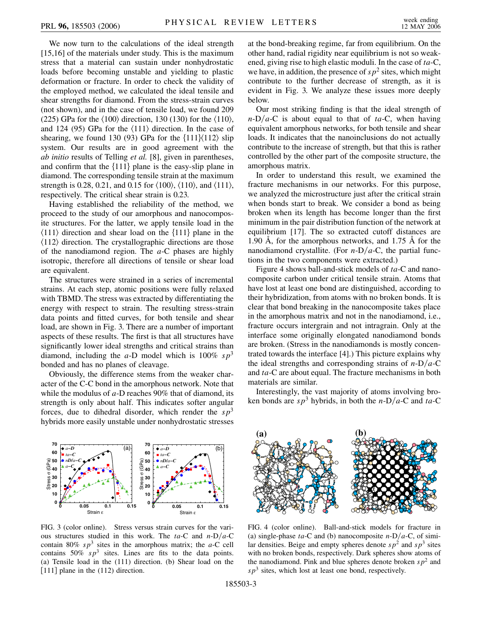We now turn to the calculations of the ideal strength [15,16] of the materials under study. This is the maximum stress that a material can sustain under nonhydrostatic loads before becoming unstable and yielding to plastic deformation or fracture. In order to check the validity of the employed method, we calculated the ideal tensile and shear strengths for diamond. From the stress-strain curves (not shown), and in the case of tensile load, we found 209 (225) GPa for the  $\langle 100 \rangle$  direction, 130 (130) for the  $\langle 110 \rangle$ , and 124 (95) GPa for the  $\langle 111 \rangle$  direction. In the case of shearing, we found 130 (93) GPa for the  $\{111\}\langle112\rangle$  slip system. Our results are in good agreement with the *ab initio* results of Telling *et al.* [8], given in parentheses, and confirm that the  $\{111\}$  plane is the easy-slip plane in diamond. The corresponding tensile strain at the maximum strength is 0.28, 0.21, and 0.15 for  $\langle 100 \rangle$ ,  $\langle 110 \rangle$ , and  $\langle 111 \rangle$ , respectively. The critical shear strain is 0.23.

Having established the reliability of the method, we proceed to the study of our amorphous and nanocomposite structures. For the latter, we apply tensile load in the  $\langle 111 \rangle$  direction and shear load on the  $\{111\}$  plane in the  $\langle 112 \rangle$  direction. The crystallographic directions are those of the nanodiamond region. The *a*-C phases are highly isotropic, therefore all directions of tensile or shear load are equivalent.

The structures were strained in a series of incremental strains. At each step, atomic positions were fully relaxed with TBMD. The stress was extracted by differentiating the energy with respect to strain. The resulting stress-strain data points and fitted curves, for both tensile and shear load, are shown in Fig. 3. There are a number of important aspects of these results. The first is that all structures have significantly lower ideal strengths and critical strains than diamond, including the *a*-D model which is 100%  $sp^3$ bonded and has no planes of cleavage.

Obviously, the difference stems from the weaker character of the C-C bond in the amorphous network. Note that while the modulus of *a*-D reaches 90% that of diamond, its strength is only about half. This indicates softer angular forces, due to dihedral disorder, which render the  $sp<sup>3</sup>$ hybrids more easily unstable under nonhydrostatic stresses



FIG. 3 (color online). Stress versus strain curves for the various structures studied in this work. The  $ta-C$  and  $n-D/a-C$ contain 80%  $s p^3$  sites in the amorphous matrix; the *a*-C cell contains  $50\%$   $sp^3$  sites. Lines are fits to the data points. (a) Tensile load in the (111) direction. (b) Shear load on the [111] plane in the (112) direction.

at the bond-breaking regime, far from equilibrium. On the other hand, radial rigidity near equilibrium is not so weakened, giving rise to high elastic moduli. In the case of *ta*-C, we have, in addition, the presence of  $s p^2$  sites, which might contribute to the further decrease of strength, as it is evident in Fig. 3. We analyze these issues more deeply below.

Our most striking finding is that the ideal strength of  $n-D/a-C$  is about equal to that of *ta-C*, when having equivalent amorphous networks, for both tensile and shear loads. It indicates that the nanoinclusions do not actually contribute to the increase of strength, but that this is rather controlled by the other part of the composite structure, the amorphous matrix.

In order to understand this result, we examined the fracture mechanisms in our networks. For this purpose, we analyzed the microstructure just after the critical strain when bonds start to break. We consider a bond as being broken when its length has become longer than the first minimum in the pair distribution function of the network at equilibrium [17]. The so extracted cutoff distances are 1.90  $\AA$ , for the amorphous networks, and 1.75  $\AA$  for the nanodiamond crystallite. (For  $n-D/a-C$ , the partial functions in the two components were extracted.)

Figure 4 shows ball-and-stick models of *ta*-C and nanocomposite carbon under critical tensile strain. Atoms that have lost at least one bond are distinguished, according to their hybridization, from atoms with no broken bonds. It is clear that bond breaking in the nanocomposite takes place in the amorphous matrix and not in the nanodiamond, i.e., fracture occurs intergrain and not intragrain. Only at the interface some originally elongated nanodiamond bonds are broken. (Stress in the nanodiamonds is mostly concentrated towards the interface [4].) This picture explains why the ideal strengths and corresponding strains of  $n-D/a-C$ and *ta*-C are about equal. The fracture mechanisms in both materials are similar.

Interestingly, the vast majority of atoms involving broken bonds are  $s p^3$  hybrids, in both the *n*-D/*a*-C and *ta*-C



FIG. 4 (color online). Ball-and-stick models for fracture in (a) single-phase *ta*-C and (b) nanocomposite  $n-D/a-C$ , of similar densities. Beige and empty spheres denote  $s p^2$  and  $s p^3$  sites with no broken bonds, respectively. Dark spheres show atoms of the nanodiamond. Pink and blue spheres denote broken  $sp<sup>2</sup>$  and  $s p<sup>3</sup>$  sites, which lost at least one bond, respectively.